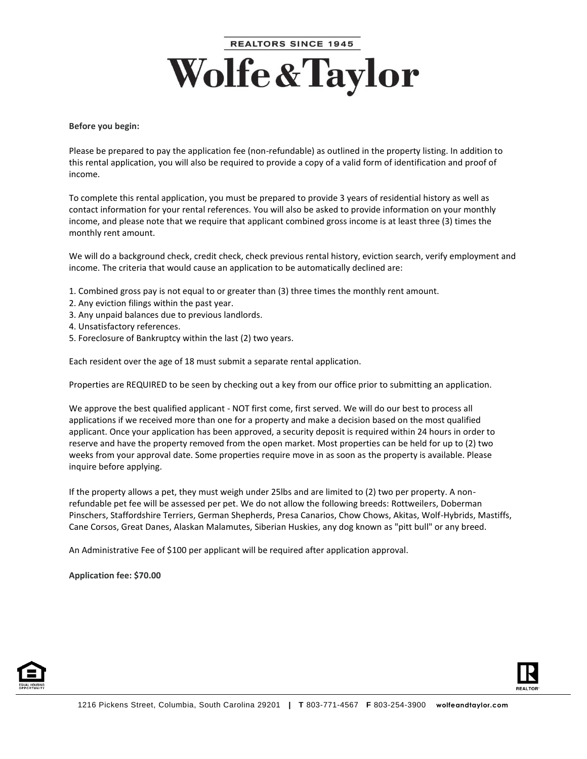## **REALTORS SINCE 1945 Wolfe & Taylor**

## **Before you begin:**

Please be prepared to pay the application fee (non-refundable) as outlined in the property listing. In addition to this rental application, you will also be required to provide a copy of a valid form of identification and proof of income.

To complete this rental application, you must be prepared to provide 3 years of residential history as well as contact information for your rental references. You will also be asked to provide information on your monthly income, and please note that we require that applicant combined gross income is at least three (3) times the monthly rent amount.

We will do a background check, credit check, check previous rental history, eviction search, verify employment and income. The criteria that would cause an application to be automatically declined are:

- 1. Combined gross pay is not equal to or greater than (3) three times the monthly rent amount.
- 2. Any eviction filings within the past year.
- 3. Any unpaid balances due to previous landlords.
- 4. Unsatisfactory references.
- 5. Foreclosure of Bankruptcy within the last (2) two years.

Each resident over the age of 18 must submit a separate rental application.

Properties are REQUIRED to be seen by checking out a key from our office prior to submitting an application.

We approve the best qualified applicant - NOT first come, first served. We will do our best to process all applications if we received more than one for a property and make a decision based on the most qualified applicant. Once your application has been approved, a security deposit is required within 24 hours in order to reserve and have the property removed from the open market. Most properties can be held for up to (2) two weeks from your approval date. Some properties require move in as soon as the property is available. Please inquire before applying.

If the property allows a pet, they must weigh under 25lbs and are limited to (2) two per property. A nonrefundable pet fee will be assessed per pet. We do not allow the following breeds: Rottweilers, Doberman Pinschers, Staffordshire Terriers, German Shepherds, Presa Canarios, Chow Chows, Akitas, Wolf-Hybrids, Mastiffs, Cane Corsos, Great Danes, Alaskan Malamutes, Siberian Huskies, any dog known as "pitt bull" or any breed.

An Administrative Fee of \$100 per applicant will be required after application approval.

**Application fee: \$70.00**



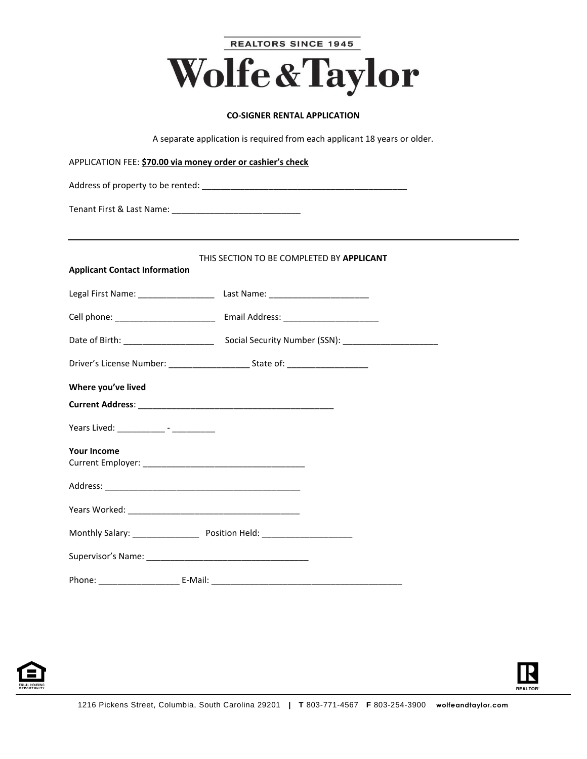| <b>REALTORS SINCE 1945</b>                                                |
|---------------------------------------------------------------------------|
| <b>Wolfe &amp; Taylor</b>                                                 |
| <b>CO-SIGNER RENTAL APPLICATION</b>                                       |
| A separate application is required from each applicant 18 years or older. |

| APPLICATION FEE: \$70.00 via money order or cashier's check |                                                                                  |  |  |  |  |
|-------------------------------------------------------------|----------------------------------------------------------------------------------|--|--|--|--|
|                                                             |                                                                                  |  |  |  |  |
|                                                             |                                                                                  |  |  |  |  |
|                                                             |                                                                                  |  |  |  |  |
| <b>Applicant Contact Information</b>                        | THIS SECTION TO BE COMPLETED BY APPLICANT                                        |  |  |  |  |
|                                                             | Legal First Name: _____________________ Last Name: _____________________________ |  |  |  |  |
|                                                             |                                                                                  |  |  |  |  |
|                                                             |                                                                                  |  |  |  |  |
|                                                             |                                                                                  |  |  |  |  |
| Where you've lived                                          |                                                                                  |  |  |  |  |
|                                                             |                                                                                  |  |  |  |  |
|                                                             |                                                                                  |  |  |  |  |
| <b>Your Income</b>                                          |                                                                                  |  |  |  |  |
|                                                             |                                                                                  |  |  |  |  |
|                                                             |                                                                                  |  |  |  |  |
|                                                             |                                                                                  |  |  |  |  |
|                                                             |                                                                                  |  |  |  |  |
|                                                             |                                                                                  |  |  |  |  |



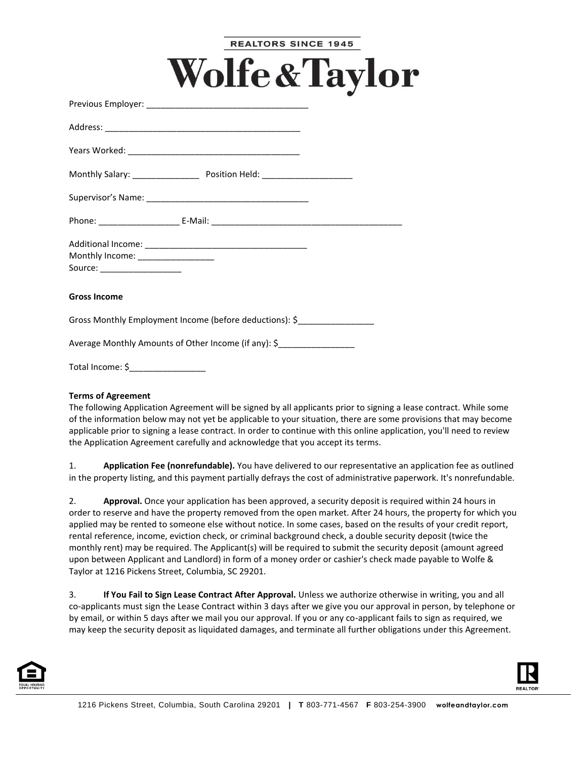|                                                                    |                                                                            | <b>REALTORS SINCE 1945</b> |  |
|--------------------------------------------------------------------|----------------------------------------------------------------------------|----------------------------|--|
|                                                                    | <b>Wolfe &amp; Taylor</b>                                                  |                            |  |
|                                                                    |                                                                            |                            |  |
|                                                                    |                                                                            |                            |  |
|                                                                    |                                                                            |                            |  |
|                                                                    |                                                                            |                            |  |
|                                                                    |                                                                            |                            |  |
|                                                                    |                                                                            |                            |  |
| Monthly Income: __________________<br>Source: ____________________ |                                                                            |                            |  |
| <b>Gross Income</b>                                                |                                                                            |                            |  |
|                                                                    | Gross Monthly Employment Income (before deductions): \$__________________  |                            |  |
|                                                                    | Average Monthly Amounts of Other Income (if any): \$______________________ |                            |  |
|                                                                    |                                                                            |                            |  |

## **Terms of Agreement**

The following Application Agreement will be signed by all applicants prior to signing a lease contract. While some of the information below may not yet be applicable to your situation, there are some provisions that may become applicable prior to signing a lease contract. In order to continue with this online application, you'll need to review the Application Agreement carefully and acknowledge that you accept its terms.

1. **Application Fee (nonrefundable).** You have delivered to our representative an application fee as outlined in the property listing, and this payment partially defrays the cost of administrative paperwork. It's nonrefundable.

2. **Approval.** Once your application has been approved, a security deposit is required within 24 hours in order to reserve and have the property removed from the open market. After 24 hours, the property for which you applied may be rented to someone else without notice. In some cases, based on the results of your credit report, rental reference, income, eviction check, or criminal background check, a double security deposit (twice the monthly rent) may be required. The Applicant(s) will be required to submit the security deposit (amount agreed upon between Applicant and Landlord) in form of a money order or cashier's check made payable to Wolfe & Taylor at 1216 Pickens Street, Columbia, SC 29201.

3. **If You Fail to Sign Lease Contract After Approval.** Unless we authorize otherwise in writing, you and all co-applicants must sign the Lease Contract within 3 days after we give you our approval in person, by telephone or by email, or within 5 days after we mail you our approval. If you or any co-applicant fails to sign as required, we may keep the security deposit as liquidated damages, and terminate all further obligations under this Agreement.